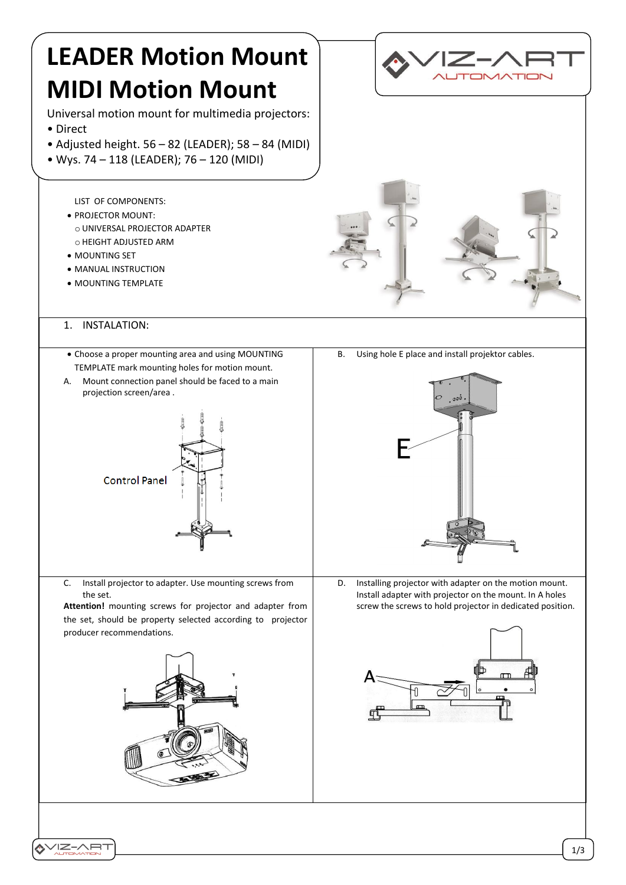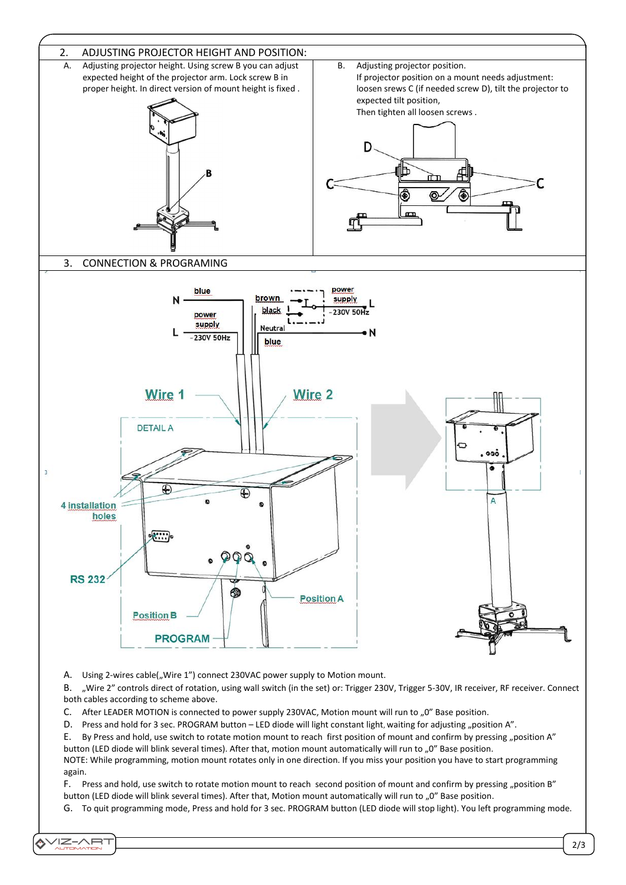

A. Using 2-wires cable("Wire 1") connect 230VAC power supply to Motion mount.

VIZ-ART

B. "Wire 2" controls direct of rotation, using wall switch (in the set) or: Trigger 230V, Trigger 5-30V, IR receiver, RF receiver. Connect both cables according to scheme above.

C. After LEADER MOTION is connected to power supply 230VAC, Motion mount will run to "0" Base position.

D. Press and hold for 3 sec. PROGRAM button – LED diode will light constant light, waiting for adjusting "position A".

E. By Press and hold, use switch to rotate motion mount to reach first position of mount and confirm by pressing "position A" button (LED diode will blink several times). After that, motion mount automatically will run to "0" Base position.

NOTE: While programming, motion mount rotates only in one direction. If you miss your position you have to start programming again.

F. Press and hold, use switch to rotate motion mount to reach second position of mount and confirm by pressing "position B" button (LED diode will blink several times). After that, Motion mount automatically will run to "0" Base position.

G. To quit programming mode, Press and hold for 3 sec. PROGRAM button (LED diode will stop light). You left programming mode.